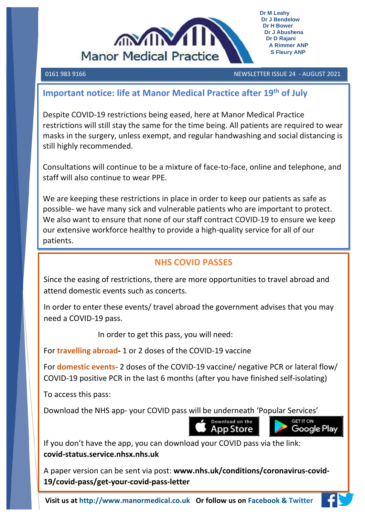

0161 983 9166 NEWSLETTER ISSUE 24 - AUGUST 2021 

### **Important notice: life at Manor Medical Practice after 19th of July**

Despite COVID-19 restrictions being eased, here at Manor Medical Practice restrictions will still stay the same for the time being. All patients are required to wear masks in the surgery, unless exempt, and regular handwashing and social distancing is still highly recommended.

Consultations will continue to be a mixture of face-to-face, online and telephone, and staff will also continue to wear PPE.

We are keeping these restrictions in place in order to keep our patients as safe as possible- we have many sick and vulnerable patients who are important to protect. We also want to ensure that none of our staff contract COVID-19 to ensure we keep our extensive workforce healthy to provide a high-quality service for all of our patients.

### **NHS COVID PASSES**

Since the easing of restrictions, there are more opportunities to travel abroad and attend domestic events such as concerts.

In order to enter these events/ travel abroad the government advises that you may need a COVID-19 pass.

In order to get this pass, you will need:

For **travelling abroad-** 1 or 2 doses of the COVID-19 vaccine

For **domestic events**- 2 doses of the COVID-19 vaccine/ negative PCR or lateral flow/ COVID-19 positive PCR in the last 6 months (after you have finished self-isolating)

To access this pass:

Download the NHS app- your COVID pass will be underneath 'Popular Services'



If you don't have the app, you can download your COVID pass via the link: **covid-status.service.nhsx.nhs.uk** 

A paper version can be sent via post: **www.nhs.uk/conditions/coronavirus-covid-19/covid-pass/get-your-covid-pass-letter**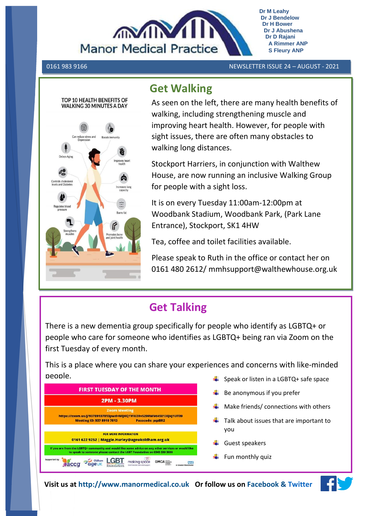

0161 983 9166 NEWSLETTER ISSUE 24 – AUGUST - 2021



## **Get Walking**

As seen on the left, there are many health benefits of walking, including strengthening muscle and improving heart health. However, for people with sight issues, there are often many obstacles to walking long distances.

Stockport Harriers, in conjunction with Walthew House, are now running an inclusive Walking Group for people with a sight loss.

It is on every Tuesday 11:00am-12:00pm at Woodbank Stadium, Woodbank Park, (Park Lane Entrance), Stockport, SK1 4HW

Tea, coffee and toilet facilities available.

Please speak to Ruth in the office or contact her on 0161 480 2612/ mmhsupport@walthewhouse.org.uk

# **Get Talking**

There is a new dementia group specifically for people who identify as LGBTQ+ or people who care for someone who identifies as LGBTQ+ being ran via Zoom on the first Tuesday of every month.

This is a place where you can share your experiences and concerns with like-minded people. Speak or listen in a LGBTQ+ safe space



- 
- $\frac{1}{2}$  Be anonymous if you prefer
- Make friends/ connections with others
- $\frac{1}{\sqrt{2}}$  Talk about issues that are important to you
- $\leftarrow$  Guest speakers
- $\ddot{\phantom{1}}$  Fun monthly quiz

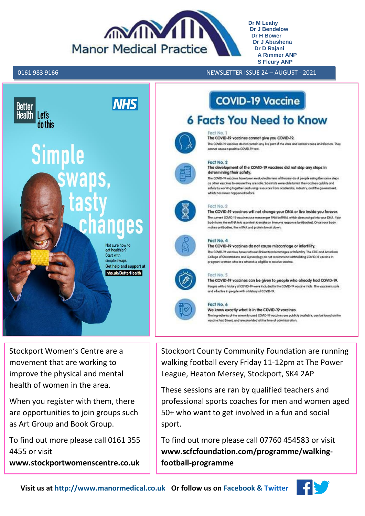

0161 983 9166 NEWSLETTER ISSUE 24 – AUGUST - 2021 **S**



Stockport Women's Centre are a movement that are working to improve the physical and mental health of women in the area.

When you register with them, there are opportunities to join groups such as Art Group and Book Group.

To find out more please call 0161 355 4455 or visit **www.stockportwomenscentre.co.uk** Stockport County Community Foundation are running walking football every Friday 11-12pm at The Power League, Heaton Mersey, Stockport, SK4 2AP

These sessions are ran by qualified teachers and professional sports coaches for men and women aged 50+ who want to get involved in a fun and social sport.

To find out more please call 07760 454583 or visit **www.scfcfoundation.com/programme/walkingfootball-programme**